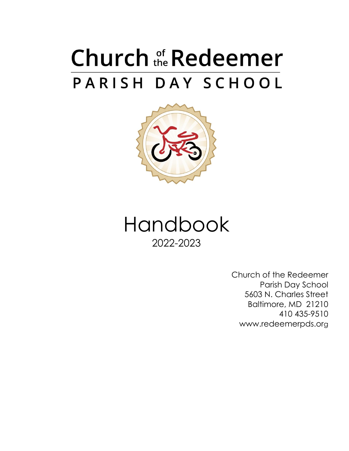# Church of Redeemer PARISH DAY SCHOOL



Handbook 2022-2023

> Church of the Redeemer Parish Day School 5603 N. Charles Street Baltimore, MD 21210 410 435-9510 www.redeemerpds.org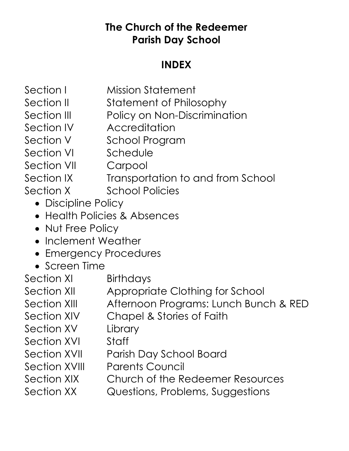# **The Church of the Redeemer Parish Day School**

# **INDEX**

| Section I            | <b>Mission Statement</b>              |
|----------------------|---------------------------------------|
| Section II           | Statement of Philosophy               |
| Section III          | Policy on Non-Discrimination          |
| Section IV           | Accreditation                         |
| Section V            | School Program                        |
| Section VI           | Schedule                              |
| Section VII          | Carpool                               |
| Section IX           | Transportation to and from School     |
| Section X            | <b>School Policies</b>                |
| • Discipline Policy  |                                       |
|                      | • Health Policies & Absences          |
| • Nut Free Policy    |                                       |
| • Inclement Weather  |                                       |
|                      | • Emergency Procedures                |
| • Screen Time        |                                       |
| Section XI           | <b>Birthdays</b>                      |
| Section XII          | Appropriate Clothing for School       |
| Section XIII         | Afternoon Programs: Lunch Bunch & RED |
| <b>Section XIV</b>   | Chapel & Stories of Faith             |
| Section XV           | Library                               |
| Section XVI          | Staff                                 |
| Section XVII         | Parish Day School Board               |
| <b>Section XVIII</b> | <b>Parents Council</b>                |
| <b>Section XIX</b>   | Church of the Redeemer Resources      |
| <b>Section XX</b>    | Questions, Problems, Suggestions      |
|                      |                                       |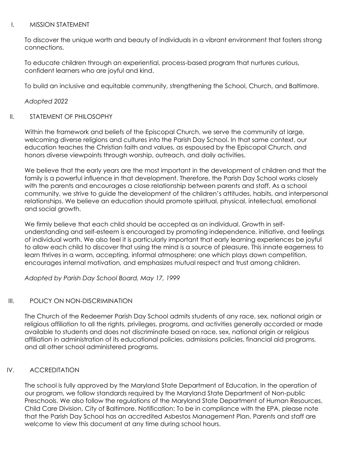#### I. MISSION STATEMENT

To discover the unique worth and beauty of individuals in a vibrant environment that fosters strong connections.

To educate children through an experiential, process-based program that nurtures curious, confident learners who are joyful and kind.

To build an inclusive and equitable community, strengthening the School, Church, and Baltimore.

## *Adopted 2022*

#### II. STATEMENT OF PHILOSOPHY

Within the framework and beliefs of the Episcopal Church, we serve the community at large, welcoming diverse religions and cultures into the Parish Day School. In that same context, our education teaches the Christian faith and values, as espoused by the Episcopal Church, and honors diverse viewpoints through worship, outreach, and daily activities.

We believe that the early years are the most important in the development of children and that the family is a powerful influence in that development. Therefore, the Parish Day School works closely with the parents and encourages a close relationship between parents and staff. As a school community, we strive to guide the development of the children's attitudes, habits, and interpersonal relationships. We believe an education should promote spiritual, physical, intellectual, emotional and social growth.

We firmly believe that each child should be accepted as an individual. Growth in selfunderstanding and self-esteem is encouraged by promoting independence, initiative, and feelings of individual worth. We also feel it is particularly important that early learning experiences be joyful to allow each child to discover that using the mind is a source of pleasure. This innate eagerness to learn thrives in a warm, accepting, informal atmosphere: one which plays down competition, encourages internal motivation, and emphasizes mutual respect and trust among children.

*Adopted by Parish Day School Board, May 17, 1999*

#### III. POLICY ON NON-DISCRIMINATION

The Church of the Redeemer Parish Day School admits students of any race, sex, national origin or religious affiliation to all the rights, privileges, programs, and activities generally accorded or made available to students and does not discriminate based on race, sex, national origin or religious affiliation in administration of its educational policies, admissions policies, financial aid programs, and all other school administered programs.

# IV. ACCREDITATION

The school is fully approved by the Maryland State Department of Education. In the operation of our program, we follow standards required by the Maryland State Department of Non-public Preschools. We also follow the regulations of the Maryland State Department of Human Resources, Child Care Division, City of Baltimore. Notification: To be in compliance with the EPA, please note that the Parish Day School has an accredited Asbestos Management Plan. Parents and staff are welcome to view this document at any time during school hours.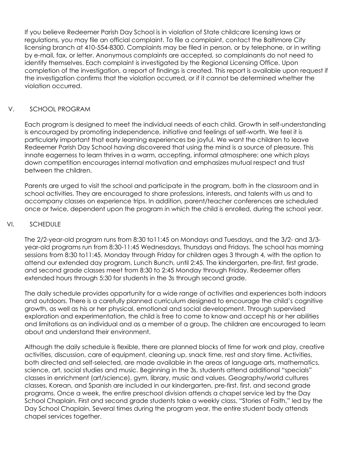If you believe Redeemer Parish Day School is in violation of State childcare licensing laws or regulations, you may file an official complaint. To file a complaint, contact the Baltimore City licensing branch at 410-554-8300. Complaints may be filed in person, or by telephone, or in writing by e-mail, fax, or letter. Anonymous complaints are accepted, so complainants do not need to identify themselves. Each complaint is investigated by the Regional Licensing Office. Upon completion of the investigation, a report of findings is created. This report is available upon request if the investigation confirms that the violation occurred, or if it cannot be determined whether the violation occurred.

# V. SCHOOL PROGRAM

Each program is designed to meet the individual needs of each child. Growth in self-understanding is encouraged by promoting independence, initiative and feelings of self-worth. We feel it is particularly important that early learning experiences be joyful. We want the children to leave Redeemer Parish Day School having discovered that using the mind is a source of pleasure. This innate eagerness to learn thrives in a warm, accepting, informal atmosphere: one which plays down competition encourages internal motivation and emphasizes mutual respect and trust between the children.

Parents are urged to visit the school and participate in the program, both in the classroom and in school activities. They are encouraged to share professions, interests, and talents with us and to accompany classes on experience trips. In addition, parent/teacher conferences are scheduled once or twice, dependent upon the program in which the child is enrolled, during the school year.

#### VI. SCHEDULE

The 2/2-year-old program runs from 8:30 to11:45 on Mondays and Tuesdays, and the 3/2- and 3/3 year-old programs run from 8:30-11:45 Wednesdays, Thursdays and Fridays. The school has morning sessions from 8:30 to11:45, Monday through Friday for children ages 3 through 4, with the option to attend our extended day program, Lunch Bunch, until 2:45. The kindergarten, pre-first, first grade, and second grade classes meet from 8:30 to 2:45 Monday through Friday. Redeemer offers extended hours through 5:30 for students in the 3s through second grade.

The daily schedule provides opportunity for a wide range of activities and experiences both indoors and outdoors. There is a carefully planned curriculum designed to encourage the child's cognitive growth, as well as his or her physical, emotional and social development. Through supervised exploration and experimentation, the child is free to come to know and accept his or her abilities and limitations as an individual and as a member of a group. The children are encouraged to learn about and understand their environment.

Although the daily schedule is flexible, there are planned blocks of time for work and play, creative activities, discussion, care of equipment, cleaning up, snack time, rest and story time. Activities, both directed and self-selected, are made available in the areas of language arts, mathematics, science, art, social studies and music. Beginning in the 3s, students attend additional "specials" classes in enrichment (art/science), gym, library, music and values. Geography/world cultures classes, Korean, and Spanish are included in our kindergarten, pre-first, first, and second grade programs. Once a week, the entire preschool division attends a chapel service led by the Day School Chaplain. First and second grade students take a weekly class, "Stories of Faith," led by the Day School Chaplain. Several times during the program year, the entire student body attends chapel services together.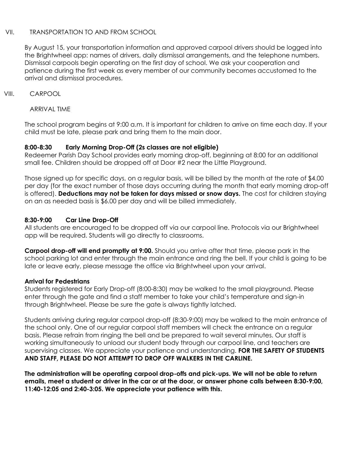#### VII. TRANSPORTATION TO AND FROM SCHOOL

By August 15, your transportation information and approved carpool drivers should be logged into the Brightwheel app: names of drivers, daily dismissal arrangements, and the telephone numbers. Dismissal carpools begin operating on the first day of school. We ask your cooperation and patience during the first week as every member of our community becomes accustomed to the arrival and dismissal procedures.

#### VIII. CARPOOL

#### ARRIVAL TIME

The school program begins at 9:00 a.m. It is important for children to arrive on time each day. If your child must be late, please park and bring them to the main door.

#### **8:00-8:30 Early Morning Drop-Off (2s classes are not eligible)**

Redeemer Parish Day School provides early morning drop-off, beginning at 8:00 for an additional small fee. Children should be dropped off at Door #2 near the Little Playground.

Those signed up for specific days, on a regular basis, will be billed by the month at the rate of \$4.00 per day (for the exact number of those days occurring during the month that early morning drop-off is offered). **Deductions may not be taken for days missed or snow days.** The cost for children staying on an as needed basis is \$6.00 per day and will be billed immediately.

#### **8:30-9:00 Car Line Drop-Off**

All students are encouraged to be dropped off via our carpool line. Protocols via our Brightwheel app will be required. Students will go directly to classrooms.

**Carpool drop-off will end promptly at 9:00.** Should you arrive after that time, please park in the school parking lot and enter through the main entrance and ring the bell. If your child is going to be late or leave early, please message the office via Brightwheel upon your arrival.

#### **Arrival for Pedestrians**

Students registered for Early Drop-off (8:00-8:30) may be walked to the small playground. Please enter through the gate and find a staff member to take your child's temperature and sign-in through Brightwheel. Please be sure the gate is always tightly latched.

Students arriving during regular carpool drop-off (8:30-9:00) may be walked to the main entrance of the school only. One of our regular carpool staff members will check the entrance on a regular basis. Please refrain from ringing the bell and be prepared to wait several minutes. Our staff is working simultaneously to unload our student body through our carpool line, and teachers are supervising classes. We appreciate your patience and understanding. **FOR THE SAFETY OF STUDENTS AND STAFF, PLEASE DO NOT ATTEMPT TO DROP OFF WALKERS IN THE CARLINE.**

**The administration will be operating carpool drop-offs and pick-ups. We will not be able to return emails, meet a student or driver in the car or at the door, or answer phone calls between 8:30-9:00, 11:40-12:05 and 2:40-3:05. We appreciate your patience with this.**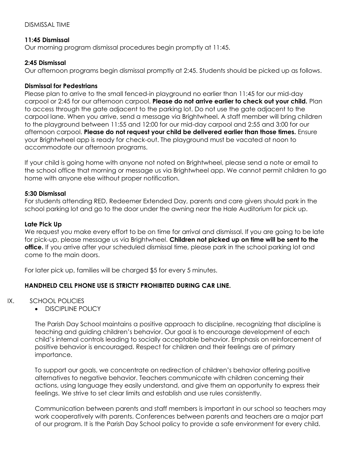#### DISMISSAL TIME

#### **11:45 Dismissal**

Our morning program dismissal procedures begin promptly at 11:45.

#### **2:45 Dismissal**

Our afternoon programs begin dismissal promptly at 2:45. Students should be picked up as follows.

#### **Dismissal for Pedestrians**

Please plan to arrive to the small fenced-in playground no earlier than 11:45 for our mid-day carpool or 2:45 for our afternoon carpool. **Please do not arrive earlier to check out your child.** Plan to access through the gate adjacent to the parking lot. Do not use the gate adjacent to the carpool lane. When you arrive, send a message via Brightwheel. A staff member will bring children to the playground between 11:55 and 12:00 for our mid-day carpool and 2:55 and 3:00 for our afternoon carpool. **Please do not request your child be delivered earlier than those times.** Ensure your Brightwheel app is ready for check-out. The playground must be vacated at noon to accommodate our afternoon programs.

If your child is going home with anyone not noted on Brightwheel, please send a note or email to the school office that morning or message us via Brightwheel app. We cannot permit children to go home with anyone else without proper notification.

#### **5:30 Dismissal**

For students attending RED, Redeemer Extended Day, parents and care givers should park in the school parking lot and go to the door under the awning near the Hale Auditorium for pick up.

#### **Late Pick Up**

We request you make every effort to be on time for arrival and dismissal. If you are going to be late for pick-up, please message us via Brightwheel. **Children not picked up on time will be sent to the office.** If you arrive after your scheduled dismissal time, please park in the school parking lot and come to the main doors.

For later pick up, families will be charged \$5 for every 5 minutes.

#### **HANDHELD CELL PHONE USE IS STRICTY PROHIBITED DURING CAR LINE.**

#### IX. SCHOOL POLICIES

• DISCIPLINE POLICY

The Parish Day School maintains a positive approach to discipline, recognizing that discipline is teaching and guiding children's behavior. Our goal is to encourage development of each child's internal controls leading to socially acceptable behavior. Emphasis on reinforcement of positive behavior is encouraged. Respect for children and their feelings are of primary importance.

To support our goals, we concentrate on redirection of children's behavior offering positive alternatives to negative behavior. Teachers communicate with children concerning their actions, using language they easily understand, and give them an opportunity to express their feelings. We strive to set clear limits and establish and use rules consistently.

Communication between parents and staff members is important in our school so teachers may work cooperatively with parents. Conferences between parents and teachers are a major part of our program. It is the Parish Day School policy to provide a safe environment for every child.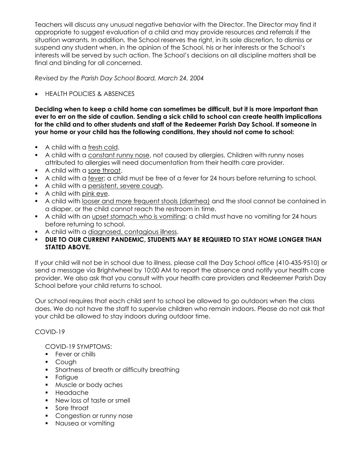Teachers will discuss any unusual negative behavior with the Director. The Director may find it appropriate to suggest evaluation of a child and may provide resources and referrals if the situation warrants. In addition, the School reserves the right, in its sole discretion, to dismiss or suspend any student when, in the opinion of the School, his or her interests or the School's interests will be served by such action. The School's decisions on all discipline matters shall be final and binding for all concerned.

*Revised by the Parish Day School Board, March 24, 2004*

• HEALTH POLICIES & ABSENCES

**Deciding when to keep a child home can sometimes be difficult, but it is more important than ever to err on the side of caution. Sending a sick child to school can create health implications for the child and to other students and staff of the Redeemer Parish Day School. If someone in your home or your child has the following conditions, they should not come to school:**

- A child with a fresh cold.
- A child with a constant runny nose, not caused by allergies. Children with runny noses attributed to allergies will need documentation from their health care provider.
- A child with a sore throat.
- A child with a fever; a child must be free of a fever for 24 hours before returning to school.
- A child with a persistent, severe cough.
- A child with pink eye.
- **•** A child with looser and more frequent stools (diarrhea) and the stool cannot be contained in a diaper, or the child cannot reach the restroom in time.
- A child with an upset stomach who is vomiting; a child must have no vomiting for 24 hours before returning to school.
- A child with a diagnosed, contagious illness.
- **E** DUE TO OUR CURRENT PANDEMIC, STUDENTS MAY BE REQUIRED TO STAY HOME LONGER THAN **STATED ABOVE.**

If your child will not be in school due to illness, please call the Day School office (410-435-9510) or send a message via Brightwheel by 10:00 AM to report the absence and notify your health care provider. We also ask that you consult with your health care providers and Redeemer Parish Day School before your child returns to school.

Our school requires that each child sent to school be allowed to go outdoors when the class does. We do not have the staff to supervise children who remain indoors. Please do not ask that your child be allowed to stay indoors during outdoor time.

# COVID-19

COVID-19 SYMPTOMS:

- **•** Fever or chills
- Cough
- Shortness of breath or difficulty breathing
- Fatigue
- Muscle or body aches
- Headache
- New loss of taste or smell
- Sore throat
- Congestion or runny nose
- Nausea or vomiting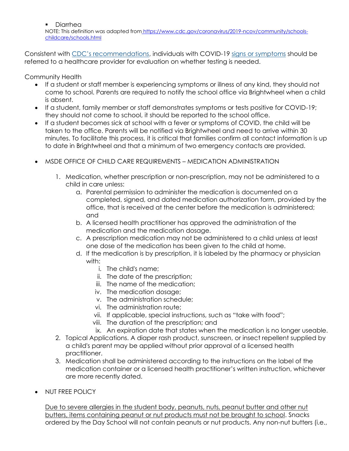■ Diarrhea

NOTE: This definition was adapted from [https://www.cdc.gov/coronavirus/2019-ncov/community/schools](https://www.cdc.gov/coronavirus/2019-ncov/community/schools-childcare/schools.html)[childcare/schools.html](https://www.cdc.gov/coronavirus/2019-ncov/community/schools-childcare/schools.html)

Consistent with [CDC's recommendations](https://www.cdc.gov/coronavirus/2019-ncov/symptoms-testing/testing.html), individuals with COVID-19 [signs or symptoms](https://www.cdc.gov/coronavirus/2019-ncov/symptoms-testing/symptoms.html) should be referred to a healthcare provider for evaluation on whether testing is needed.

Community Health

- If a student or staff member is experiencing symptoms or illness of any kind, they should not come to school. Parents are required to notify the school office via Brightwheel when a child is absent.
- If a student, family member or staff demonstrates symptoms or tests positive for COVID-19; they should not come to school, it should be reported to the school office.
- If a student becomes sick at school with a fever or symptoms of COVID, the child will be taken to the office. Parents will be notified via Brightwheel and need to arrive within 30 minutes. To facilitate this process, it is critical that families confirm all contact information is up to date in Brightwheel and that a minimum of two emergency contacts are provided.
- MSDE OFFICE OF CHILD CARE REQUIREMENTS MEDICATION ADMINISTRATION
	- 1. Medication, whether prescription or non-prescription, may not be administered to a child in care unless:
		- a. Parental permission to administer the medication is documented on a completed, signed, and dated medication authorization form, provided by the office, that is received at the center before the medication is administered; and
		- b. A licensed health practitioner has approved the administration of the medication and the medication dosage.
		- c. A prescription medication may not be administered to a child unless at least one dose of the medication has been given to the child at home.
		- d. If the medication is by prescription, it is labeled by the pharmacy or physician with:
			- i. The child's name;
			- ii. The date of the prescription;
			- iii. The name of the medication;
			- iv. The medication dosage;
			- v. The administration schedule;
			- vi. The administration route;
			- vii. If applicable, special instructions, such as "take with food";
			- viii. The duration of the prescription; and
			- ix. An expiration date that states when the medication is no longer useable.
	- 2. Topical Applications. A diaper rash product, sunscreen, or insect repellent supplied by a child's parent may be applied without prior approval of a licensed health practitioner.
	- 3. Medication shall be administered according to the instructions on the label of the medication container or a licensed health practitioner's written instruction, whichever are more recently dated.
- NUT FREE POLICY

Due to severe allergies in the student body, peanuts, nuts, peanut butter and other nut butters, items containing peanut or nut products must not be brought to school. Snacks ordered by the Day School will not contain peanuts or nut products. Any non-nut butters (i.e.,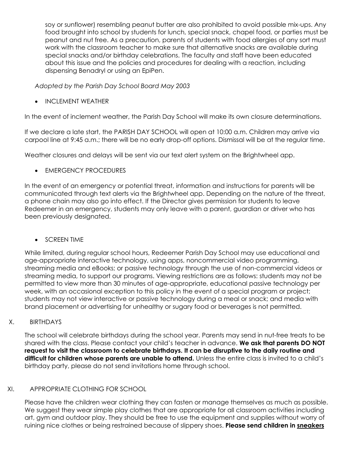soy or sunflower) resembling peanut butter are also prohibited to avoid possible mix-ups. Any food brought into school by students for lunch, special snack, chapel food, or parties must be peanut and nut free. As a precaution, parents of students with food allergies of any sort must work with the classroom teacher to make sure that alternative snacks are available during special snacks and/or birthday celebrations. The faculty and staff have been educated about this issue and the policies and procedures for dealing with a reaction, including dispensing Benadryl or using an EpiPen.

*Adopted by the Parish Day School Board May 2003*

• INCLEMENT WEATHER

In the event of inclement weather, the Parish Day School will make its own closure determinations.

If we declare a late start, the PARISH DAY SCHOOL will open at 10:00 a.m. Children may arrive via carpool line at 9:45 a.m.; there will be no early drop-off options. Dismissal will be at the regular time.

Weather closures and delays will be sent via our text alert system on the Brightwheel app.

• EMERGENCY PROCEDURES

In the event of an emergency or potential threat, information and instructions for parents will be communicated through text alerts via the Brightwheel app. Depending on the nature of the threat, a phone chain may also go into effect. If the Director gives permission for students to leave Redeemer in an emergency, students may only leave with a parent, guardian or driver who has been previously designated.

• SCREEN TIME

While limited, during regular school hours, Redeemer Parish Day School may use educational and age-appropriate interactive technology, using apps, noncommercial video programming, streaming media and eBooks; or passive technology through the use of non-commercial videos or streaming media, to support our programs. Viewing restrictions are as follows: students may not be permitted to view more than 30 minutes of age-appropriate, educational passive technology per week, with an occasional exception to this policy in the event of a special program or project; students may not view interactive or passive technology during a meal or snack; and media with brand placement or advertising for unhealthy or sugary food or beverages is not permitted.

X. BIRTHDAYS

The school will celebrate birthdays during the school year. Parents may send in nut-free treats to be shared with the class. Please contact your child's teacher in advance. **We ask that parents DO NOT request to visit the classroom to celebrate birthdays. It can be disruptive to the daily routine and difficult for children whose parents are unable to attend.** Unless the entire class is invited to a child's birthday party, please do not send invitations home through school.

#### XI. APPROPRIATE CLOTHING FOR SCHOOL

Please have the children wear clothing they can fasten or manage themselves as much as possible. We suggest they wear simple play clothes that are appropriate for all classroom activities including art, gym and outdoor play. They should be free to use the equipment and supplies without worry of ruining nice clothes or being restrained because of slippery shoes. **Please send children in sneakers**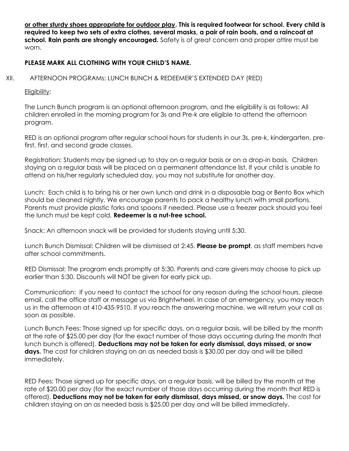**or other sturdy shoes appropriate for outdoor play. This is required footwear for school. Every child is required to keep two sets of extra clothes, several masks, a pair of rain boots, and a raincoat at school. Rain pants are strongly encouraged.** Safety is of great concern and proper attire must be worn.

## **PLEASE MARK ALL CLOTHING WITH YOUR CHILD'S NAME.**

XII. AFTERNOON PROGRAMs: LUNCH BUNCH & REDEEMER'S EXTENDED DAY (RED)

#### Eligibility:

The Lunch Bunch program is an optional afternoon program, and the eligibility is as follows: All children enrolled in the morning program for 3s and Pre-k are eligible to attend the afternoon program.

RED is an optional program after regular school hours for students in our 3s, pre-k, kindergarten, prefirst, first, and second grade classes.

Registration: Students may be signed up to stay on a regular basis or on a drop-in basis. Children staying on a regular basis will be placed on a permanent attendance list. If your child is unable to attend on his/her regularly scheduled day, you may not substitute for another day.

Lunch: Each child is to bring his or her own lunch and drink in a disposable bag or Bento Box which should be cleaned nightly. We encourage parents to pack a healthy lunch with small portions. Parents must provide plastic forks and spoons if needed. Please use a freezer pack should you feel the lunch must be kept cold. **Redeemer is a nut-free school.**

Snack: An afternoon snack will be provided for students staying until 5:30.

Lunch Bunch Dismissal: Children will be dismissed at 2:45. **Please be prompt**, as staff members have after school commitments.

RED Dismissal: The program ends promptly at 5:30. Parents and care givers may choose to pick up earlier than 5:30. Discounts will NOT be given for early pick up.

Communication: If you need to contact the school for any reason during the school hours, please email, call the office staff or message us via Brightwheel. In case of an emergency, you may reach us in the afternoon at 410-435-9510. If you reach the answering machine, we will return your call as soon as possible.

Lunch Bunch Fees: Those signed up for specific days, on a regular basis, will be billed by the month at the rate of \$25.00 per day (for the exact number of those days occurring during the month that lunch bunch is offered). **Deductions may not be taken for early dismissal, days missed, or snow days.** The cost for children staying on an as needed basis is \$30.00 per day and will be billed immediately.

RED Fees: Those signed up for specific days, on a regular basis, will be billed by the month at the rate of \$20.00 per day (for the exact number of those days occurring during the month that RED is offered). **Deductions may not be taken for early dismissal, days missed, or snow days.** The cost for children staying on an as needed basis is \$25.00 per day and will be billed immediately.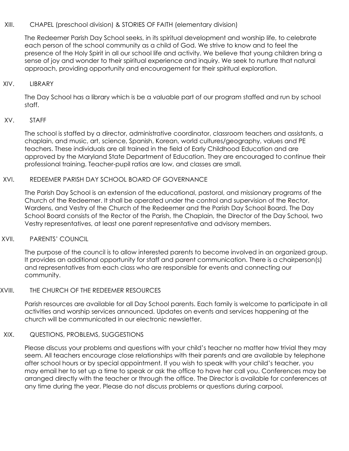#### XIII. CHAPEL (preschool division) & STORIES OF FAITH (elementary division)

The Redeemer Parish Day School seeks, in its spiritual development and worship life, to celebrate each person of the school community as a child of God. We strive to know and to feel the presence of the Holy Spirit in all our school life and activity. We believe that young children bring a sense of joy and wonder to their spiritual experience and inquiry. We seek to nurture that natural approach, providing opportunity and encouragement for their spiritual exploration.

#### XIV. LIBRARY

The Day School has a library which is be a valuable part of our program staffed and run by school staff.

#### XV. STAFF

The school is staffed by a director, administrative coordinator, classroom teachers and assistants, a chaplain, and music, art, science, Spanish, Korean, world cultures/geography, values and PE teachers. These individuals are all trained in the field of Early Childhood Education and are approved by the Maryland State Department of Education. They are encouraged to continue their professional training. Teacher-pupil ratios are low, and classes are small.

#### XVI. REDEEMER PARISH DAY SCHOOL BOARD OF GOVERNANCE

The Parish Day School is an extension of the educational, pastoral, and missionary programs of the Church of the Redeemer. It shall be operated under the control and supervision of the Rector, Wardens, and Vestry of the Church of the Redeemer and the Parish Day School Board. The Day School Board consists of the Rector of the Parish, the Chaplain, the Director of the Day School, two Vestry representatives, at least one parent representative and advisory members.

#### XVII. PARENTS' COUNCIL

The purpose of the council is to allow interested parents to become involved in an organized group. It provides an additional opportunity for staff and parent communication. There is a chairperson(s) and representatives from each class who are responsible for events and connecting our community.

#### XVIII. THE CHURCH OF THE REDEEMER RESOURCES

Parish resources are available for all Day School parents. Each family is welcome to participate in all activities and worship services announced. Updates on events and services happening at the church will be communicated in our electronic newsletter.

#### XIX. QUESTIONS, PROBLEMS, SUGGESTIONS

Please discuss your problems and questions with your child's teacher no matter how trivial they may seem. All teachers encourage close relationships with their parents and are available by telephone after school hours or by special appointment. If you wish to speak with your child's teacher, you may email her to set up a time to speak or ask the office to have her call you. Conferences may be arranged directly with the teacher or through the office. The Director is available for conferences at any time during the year. Please do not discuss problems or questions during carpool.